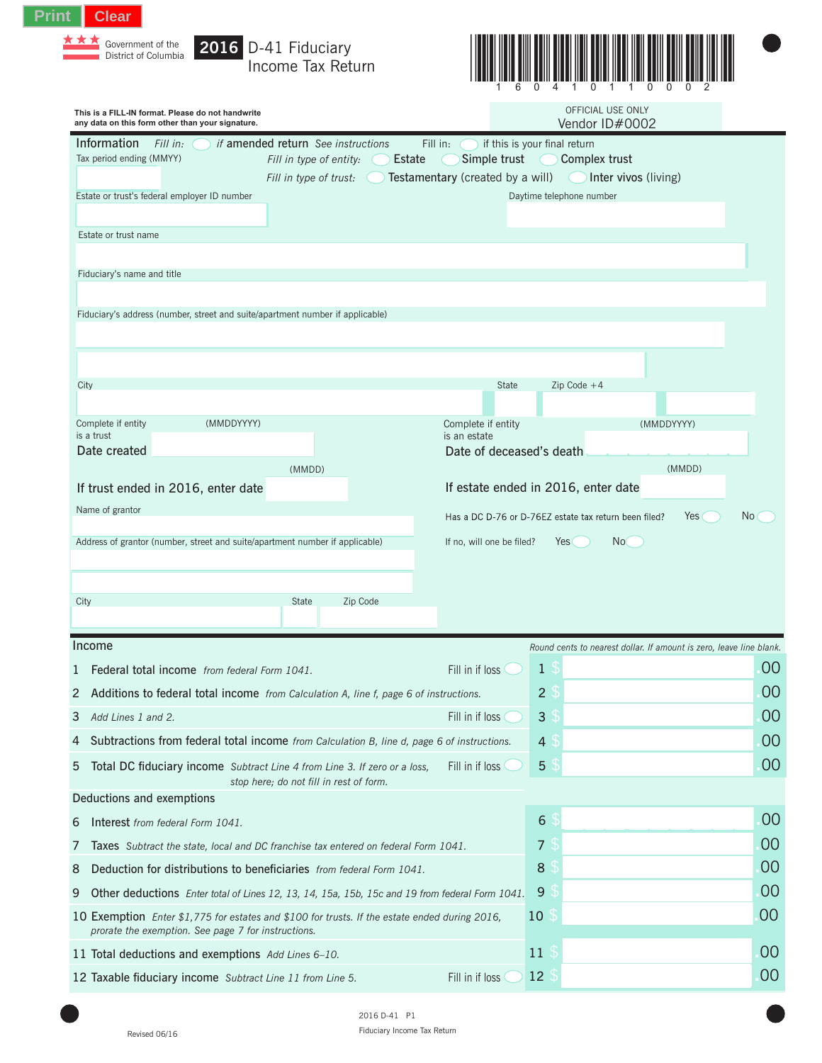| Print | <b>Clear</b>                                                  |  |
|-------|---------------------------------------------------------------|--|
|       | $\star \star \star$ Government of the<br>District of Columbia |  |

Government of the **2016** D-41 Fiduciary Income Tax Return



| This is a FILL-IN format. Please do not handwrite<br>any data on this form other than your signature.                                                |                                  | OFFICIAL USE ONLY<br>Vendor ID#0002                   |                                                                     |     |
|------------------------------------------------------------------------------------------------------------------------------------------------------|----------------------------------|-------------------------------------------------------|---------------------------------------------------------------------|-----|
| Information<br><i>if</i> amended return See instructions<br>Fill in:                                                                                 | Fill in:                         | if this is your final return                          |                                                                     |     |
| Estate<br>Tax period ending (MMYY)<br>Fill in type of entity:                                                                                        | Simple trust                     | Complex trust                                         |                                                                     |     |
| Fill in type of trust:<br>Estate or trust's federal employer ID number                                                                               | Testamentary (created by a will) | Daytime telephone number                              | Inter vivos (living)                                                |     |
|                                                                                                                                                      |                                  |                                                       |                                                                     |     |
| Estate or trust name                                                                                                                                 |                                  |                                                       |                                                                     |     |
|                                                                                                                                                      |                                  |                                                       |                                                                     |     |
| Fiduciary's name and title                                                                                                                           |                                  |                                                       |                                                                     |     |
|                                                                                                                                                      |                                  |                                                       |                                                                     |     |
| Fiduciary's address (number, street and suite/apartment number if applicable)                                                                        |                                  |                                                       |                                                                     |     |
|                                                                                                                                                      |                                  |                                                       |                                                                     |     |
|                                                                                                                                                      |                                  |                                                       |                                                                     |     |
| City                                                                                                                                                 | <b>State</b>                     | $Zip Code +4$                                         |                                                                     |     |
|                                                                                                                                                      | Complete if entity               |                                                       | (MMDDYYYY)                                                          |     |
| (MMDDYYYY)<br>Complete if entity<br>is a trust                                                                                                       | is an estate                     |                                                       |                                                                     |     |
| Date created                                                                                                                                         | Date of deceased's death         |                                                       |                                                                     |     |
| (MMDD)<br>If trust ended in 2016, enter date                                                                                                         |                                  | If estate ended in 2016, enter date                   | (MMDD)                                                              |     |
| Name of grantor                                                                                                                                      |                                  |                                                       |                                                                     |     |
|                                                                                                                                                      |                                  | Has a DC D-76 or D-76EZ estate tax return been filed? | Yes (                                                               | No( |
| Address of grantor (number, street and suite/apartment number if applicable)                                                                         | If no, will one be filed?        | Yes                                                   | No                                                                  |     |
|                                                                                                                                                      |                                  |                                                       |                                                                     |     |
| Zip Code<br>City<br><b>State</b>                                                                                                                     |                                  |                                                       |                                                                     |     |
|                                                                                                                                                      |                                  |                                                       |                                                                     |     |
| Income                                                                                                                                               |                                  |                                                       | Round cents to nearest dollar. If amount is zero, leave line blank. |     |
| Federal total income from federal Form 1041.<br>1                                                                                                    | Fill in if loss                  | $\mathbf{1}$                                          |                                                                     | 00  |
| 2 Additions to federal total income from Calculation A, line f, page 6 of instructions.                                                              |                                  | $\overline{2}$                                        |                                                                     | 00  |
| 3<br>Add Lines 1 and 2.                                                                                                                              | Fill in if loss                  | 3                                                     |                                                                     | 00  |
| Subtractions from federal total income from Calculation B, line d, page 6 of instructions.<br>4                                                      |                                  | $\overline{4}$                                        |                                                                     | 00  |
| 5<br>Total DC fiduciary income Subtract Line 4 from Line 3. If zero or a loss,<br>stop here; do not fill in rest of form.                            | Fill in if loss                  | $\overline{5}$                                        |                                                                     | 00  |
| Deductions and exemptions                                                                                                                            |                                  |                                                       |                                                                     |     |
| Interest from federal Form 1041.<br>6                                                                                                                |                                  | 6                                                     |                                                                     | 00  |
| 7<br><b>Taxes</b> Subtract the state, local and DC franchise tax entered on federal Form 1041.                                                       |                                  | $\overline{7}$                                        |                                                                     | 00  |
| Deduction for distributions to beneficiaries from federal Form 1041.<br>8                                                                            |                                  | 8                                                     |                                                                     | 00  |
| 9<br>Other deductions Enter total of Lines 12, 13, 14, 15a, 15b, 15c and 19 from federal Form 1041.                                                  |                                  | $\overline{9}$                                        |                                                                     | 00  |
| 10 Exemption Enter \$1,775 for estates and \$100 for trusts. If the estate ended during 2016,<br>prorate the exemption. See page 7 for instructions. |                                  | 10                                                    |                                                                     | 00  |
| 11 Total deductions and exemptions Add Lines 6-10.                                                                                                   |                                  | 11                                                    |                                                                     | 00  |
| 12 Taxable fiduciary income Subtract Line 11 from Line 5.                                                                                            | Fill in if loss                  | 12                                                    |                                                                     | 00  |

2016 D-41 P1 Revised 06/16 **Revised 06/16 Revised 06/16 Revised 06/16 Revised 06/16 Rep**